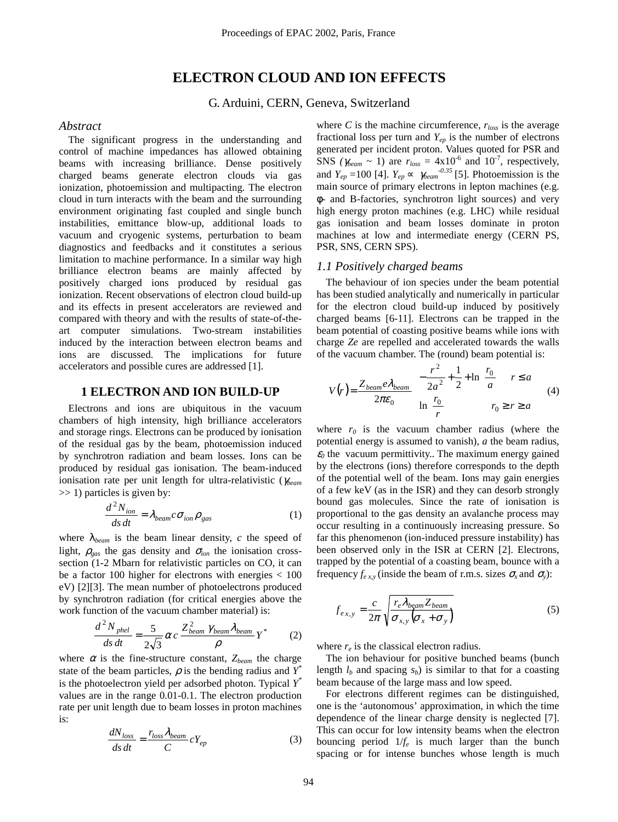# **ELECTRON CLOUD AND ION EFFECTS**

G. Arduini, CERN, Geneva, Switzerland

# *Abstract*

The significant progress in the understanding and control of machine impedances has allowed obtaining beams with increasing brilliance. Dense positively charged beams generate electron clouds via gas ionization, photoemission and multipacting. The electron cloud in turn interacts with the beam and the surrounding environment originating fast coupled and single bunch instabilities, emittance blow-up, additional loads to vacuum and cryogenic systems, perturbation to beam diagnostics and feedbacks and it constitutes a serious limitation to machine performance. In a similar way high brilliance electron beams are mainly affected by positively charged ions produced by residual gas ionization. Recent observations of electron cloud build-up and its effects in present accelerators are reviewed and compared with theory and with the results of state-of-theart computer simulations. Two-stream instabilities induced by the interaction between electron beams and ions are discussed. The implications for future accelerators and possible cures are addressed [1].

## **1 ELECTRON AND ION BUILD-UP**

Electrons and ions are ubiquitous in the vacuum chambers of high intensity, high brilliance accelerators and storage rings. Electrons can be produced by ionisation of the residual gas by the beam, photoemission induced by synchrotron radiation and beam losses. Ions can be produced by residual gas ionisation. The beam-induced ionisation rate per unit length for ultra-relativistic (γ*beam* >> 1) particles is given by:

$$
\frac{d^2 N_{ion}}{ds dt} = \lambda_{beam} c \sigma_{ion} \rho_{gas}
$$
 (1)

where  $\lambda_{beam}$  is the beam linear density, *c* the speed of light,  $\rho_{\text{gas}}$  the gas density and  $\sigma_{\text{ion}}$  the ionisation crosssection (1-2 Mbarn for relativistic particles on CO, it can be a factor 100 higher for electrons with energies < 100 eV) [2][3]. The mean number of photoelectrons produced by synchrotron radiation (for critical energies above the work function of the vacuum chamber material) is:

$$
\frac{d^2N_{phel}}{ds\,dt} = \frac{5}{2\sqrt{3}}\,\alpha\,c\,\frac{Z_{beam}^2\,\gamma_{beam}\,\lambda_{beam}}{\rho}\,Y^*
$$
 (2)

where  $\alpha$  is the fine-structure constant,  $Z_{beam}$  the charge state of the beam particles,  $\rho$  is the bending radius and *Y*<sup>\*</sup> is the photoelectron yield per adsorbed photon. Typical *Y\** values are in the range 0.01-0.1. The electron production rate per unit length due to beam losses in proton machines is:

$$
\frac{dN_{loss}}{ds\,dt} = \frac{r_{loss}\lambda_{beam}}{C}cY_{ep} \tag{3}
$$

where *C* is the machine circumference,  $r_{loss}$  is the average fractional loss per turn and  $Y_{ep}$  is the number of electrons generated per incident proton. Values quoted for PSR and SNS ( $\gamma_{beam} \sim 1$ ) are  $r_{loss} = 4 \times 10^{-6}$  and  $10^{-7}$ , respectively, and  $Y_{ep}$  =100 [4].  $Y_{ep} \propto \gamma_{beam}^{0.35}$  [5]. Photoemission is the main source of primary electrons in lepton machines (e.g. φ- and B-factories, synchrotron light sources) and very high energy proton machines (e.g. LHC) while residual gas ionisation and beam losses dominate in proton machines at low and intermediate energy (CERN PS, PSR, SNS, CERN SPS).

## *1.1 Positively charged beams*

The behaviour of ion species under the beam potential has been studied analytically and numerically in particular for the electron cloud build-up induced by positively charged beams [6-11]. Electrons can be trapped in the beam potential of coasting positive beams while ions with charge *Ze* are repelled and accelerated towards the walls of the vacuum chamber. The (round) beam potential is:

$$
V(r) = \frac{Z_{beam}e\lambda_{beam}}{2\pi\varepsilon_0} \begin{cases} \frac{r^2}{2a^2} + \frac{1}{2} + \ln\left(\frac{r_0}{a}\right) & r \le a\\ \ln\left(\frac{r_0}{r}\right) & r_0 \ge r \ge a \end{cases}
$$
(4)

where  $r_0$  is the vacuum chamber radius (where the potential energy is assumed to vanish), *a* the beam radius,  $\varepsilon_0$  the vacuum permittivity.. The maximum energy gained by the electrons (ions) therefore corresponds to the depth of the potential well of the beam. Ions may gain energies of a few keV (as in the ISR) and they can desorb strongly bound gas molecules. Since the rate of ionisation is proportional to the gas density an avalanche process may occur resulting in a continuously increasing pressure. So far this phenomenon (ion-induced pressure instability) has been observed only in the ISR at CERN [2]. Electrons, trapped by the potential of a coasting beam, bounce with a frequency  $f_{e x, y}$  (inside the beam of r.m.s. sizes  $\sigma_x$  and  $\sigma_y$ ):

$$
f_{e_{x,y}} = \frac{c}{2\pi} \sqrt{\frac{r_e \lambda_{beam} Z_{beam}}{\sigma_{x,y} (\sigma_x + \sigma_y)}}
$$
(5)

where  $r_e$  is the classical electron radius.

The ion behaviour for positive bunched beams (bunch length  $l_b$  and spacing  $s_b$ ) is similar to that for a coasting beam because of the large mass and low speed.

For electrons different regimes can be distinguished, one is the 'autonomous' approximation, in which the time dependence of the linear charge density is neglected [7]. This can occur for low intensity beams when the electron bouncing period 1/*fe* is much larger than the bunch spacing or for intense bunches whose length is much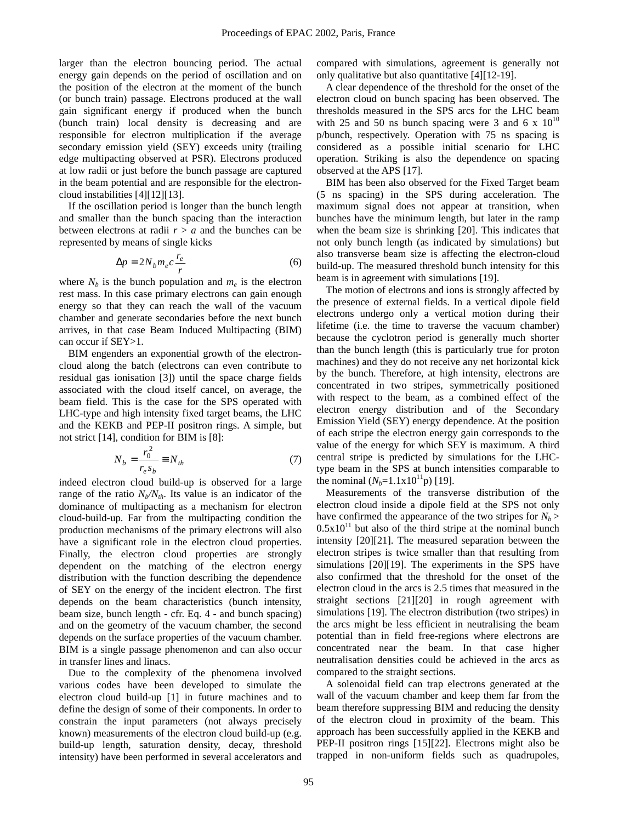larger than the electron bouncing period. The actual energy gain depends on the period of oscillation and on the position of the electron at the moment of the bunch (or bunch train) passage. Electrons produced at the wall gain significant energy if produced when the bunch (bunch train) local density is decreasing and are responsible for electron multiplication if the average secondary emission yield (SEY) exceeds unity (trailing edge multipacting observed at PSR). Electrons produced at low radii or just before the bunch passage are captured in the beam potential and are responsible for the electroncloud instabilities [4][12][13].

If the oscillation period is longer than the bunch length and smaller than the bunch spacing than the interaction between electrons at radii  $r > a$  and the bunches can be represented by means of single kicks

$$
\Delta p = 2N_b m_e c \frac{r_e}{r}
$$
 (6)

where  $N_b$  is the bunch population and  $m_e$  is the electron rest mass. In this case primary electrons can gain enough energy so that they can reach the wall of the vacuum chamber and generate secondaries before the next bunch arrives, in that case Beam Induced Multipacting (BIM) can occur if SEY>1.

BIM engenders an exponential growth of the electroncloud along the batch (electrons can even contribute to residual gas ionisation [3]) until the space charge fields associated with the cloud itself cancel, on average, the beam field. This is the case for the SPS operated with LHC-type and high intensity fixed target beams, the LHC and the KEKB and PEP-II positron rings. A simple, but not strict [14], condition for BIM is [8]:

$$
N_b = \frac{r_0^2}{r_e s_b} \equiv N_{th}
$$
 (7)

indeed electron cloud build-up is observed for a large range of the ratio  $N_b/N_{th}$ . Its value is an indicator of the dominance of multipacting as a mechanism for electron cloud-build-up. Far from the multipacting condition the production mechanisms of the primary electrons will also have a significant role in the electron cloud properties. Finally, the electron cloud properties are strongly dependent on the matching of the electron energy distribution with the function describing the dependence of SEY on the energy of the incident electron. The first depends on the beam characteristics (bunch intensity, beam size, bunch length - cfr. Eq. 4 - and bunch spacing) and on the geometry of the vacuum chamber, the second depends on the surface properties of the vacuum chamber. BIM is a single passage phenomenon and can also occur in transfer lines and linacs.

Due to the complexity of the phenomena involved various codes have been developed to simulate the electron cloud build-up [1] in future machines and to define the design of some of their components. In order to constrain the input parameters (not always precisely known) measurements of the electron cloud build-up (e.g. build-up length, saturation density, decay, threshold intensity) have been performed in several accelerators and compared with simulations, agreement is generally not only qualitative but also quantitative [4][12-19].

A clear dependence of the threshold for the onset of the electron cloud on bunch spacing has been observed. The thresholds measured in the SPS arcs for the LHC beam with 25 and 50 ns bunch spacing were 3 and 6 x  $10^{10}$ p/bunch, respectively. Operation with 75 ns spacing is considered as a possible initial scenario for LHC operation. Striking is also the dependence on spacing observed at the APS [17].

BIM has been also observed for the Fixed Target beam (5 ns spacing) in the SPS during acceleration. The maximum signal does not appear at transition, when bunches have the minimum length, but later in the ramp when the beam size is shrinking [20]. This indicates that not only bunch length (as indicated by simulations) but also transverse beam size is affecting the electron-cloud build-up. The measured threshold bunch intensity for this beam is in agreement with simulations [19].

The motion of electrons and ions is strongly affected by the presence of external fields. In a vertical dipole field electrons undergo only a vertical motion during their lifetime (i.e. the time to traverse the vacuum chamber) because the cyclotron period is generally much shorter than the bunch length (this is particularly true for proton machines) and they do not receive any net horizontal kick by the bunch. Therefore, at high intensity, electrons are concentrated in two stripes, symmetrically positioned with respect to the beam, as a combined effect of the electron energy distribution and of the Secondary Emission Yield (SEY) energy dependence. At the position of each stripe the electron energy gain corresponds to the value of the energy for which SEY is maximum. A third central stripe is predicted by simulations for the LHCtype beam in the SPS at bunch intensities comparable to the nominal  $(N_b=1.1x10^{11}p)$  [19].

Measurements of the transverse distribution of the electron cloud inside a dipole field at the SPS not only have confirmed the appearance of the two stripes for  $N_b$  >  $0.5x10^{11}$  but also of the third stripe at the nominal bunch intensity [20][21]. The measured separation between the electron stripes is twice smaller than that resulting from simulations [20][19]. The experiments in the SPS have also confirmed that the threshold for the onset of the electron cloud in the arcs is 2.5 times that measured in the straight sections [21][20] in rough agreement with simulations [19]. The electron distribution (two stripes) in the arcs might be less efficient in neutralising the beam potential than in field free-regions where electrons are concentrated near the beam. In that case higher neutralisation densities could be achieved in the arcs as compared to the straight sections.

A solenoidal field can trap electrons generated at the wall of the vacuum chamber and keep them far from the beam therefore suppressing BIM and reducing the density of the electron cloud in proximity of the beam. This approach has been successfully applied in the KEKB and PEP-II positron rings [15][22]. Electrons might also be trapped in non-uniform fields such as quadrupoles,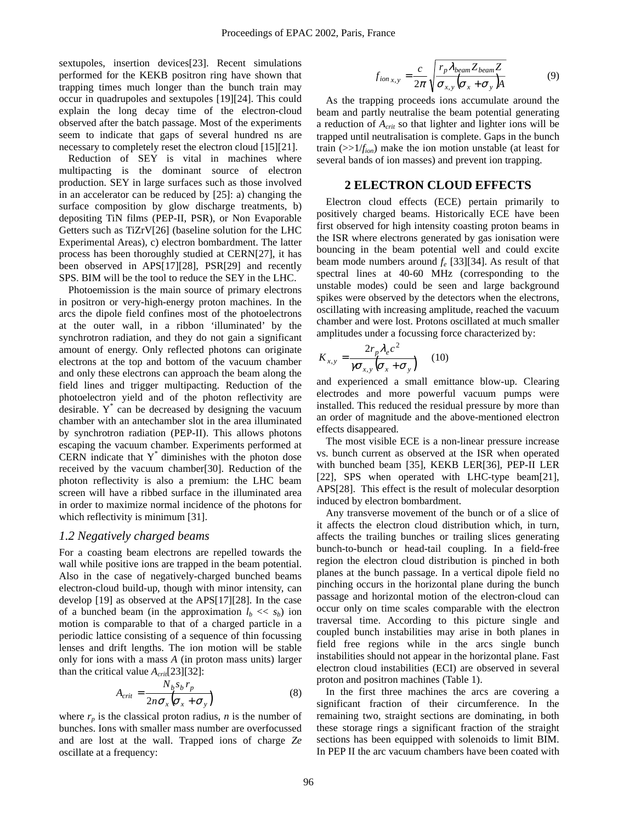sextupoles, insertion devices[23]. Recent simulations performed for the KEKB positron ring have shown that trapping times much longer than the bunch train may occur in quadrupoles and sextupoles [19][24]. This could explain the long decay time of the electron-cloud observed after the batch passage. Most of the experiments seem to indicate that gaps of several hundred ns are necessary to completely reset the electron cloud [15][21].

Reduction of SEY is vital in machines where multipacting is the dominant source of electron production. SEY in large surfaces such as those involved in an accelerator can be reduced by [25]: a) changing the surface composition by glow discharge treatments, b) depositing TiN films (PEP-II, PSR), or Non Evaporable Getters such as TiZrV[26] (baseline solution for the LHC Experimental Areas), c) electron bombardment. The latter process has been thoroughly studied at CERN[27], it has been observed in APS[17][28], PSR[29] and recently SPS. BIM will be the tool to reduce the SEY in the LHC.

Photoemission is the main source of primary electrons in positron or very-high-energy proton machines. In the arcs the dipole field confines most of the photoelectrons at the outer wall, in a ribbon 'illuminated' by the synchrotron radiation, and they do not gain a significant amount of energy. Only reflected photons can originate electrons at the top and bottom of the vacuum chamber and only these electrons can approach the beam along the field lines and trigger multipacting. Reduction of the photoelectron yield and of the photon reflectivity are desirable.  $Y^*$  can be decreased by designing the vacuum chamber with an antechamber slot in the area illuminated by synchrotron radiation (PEP-II). This allows photons escaping the vacuum chamber. Experiments performed at CERN indicate that  $Y^*$  diminishes with the photon dose received by the vacuum chamber[30]. Reduction of the photon reflectivity is also a premium: the LHC beam screen will have a ribbed surface in the illuminated area in order to maximize normal incidence of the photons for which reflectivity is minimum [31].

## *1.2 Negatively charged beams*

For a coasting beam electrons are repelled towards the wall while positive ions are trapped in the beam potential. Also in the case of negatively-charged bunched beams electron-cloud build-up, though with minor intensity, can develop [19] as observed at the APS[17][28]. In the case of a bunched beam (in the approximation  $l_b \ll s_b$ ) ion motion is comparable to that of a charged particle in a periodic lattice consisting of a sequence of thin focussing lenses and drift lengths. The ion motion will be stable only for ions with a mass *A* (in proton mass units) larger than the critical value  $A_{crit}[23][32]$ :

$$
A_{crit} = \frac{N_b s_b r_p}{2n\sigma_x (\sigma_x + \sigma_y)}
$$
(8)

where  $r_p$  is the classical proton radius, *n* is the number of bunches. Ions with smaller mass number are overfocussed and are lost at the wall. Trapped ions of charge *Ze* oscillate at a frequency:

$$
f_{ion\,x,y} = \frac{c}{2\pi} \sqrt{\frac{r_p \lambda_{beam} Z_{beam} Z}{\sigma_{x,y} (\sigma_x + \sigma_y) A}}
$$
(9)

As the trapping proceeds ions accumulate around the beam and partly neutralise the beam potential generating a reduction of *Acrit* so that lighter and lighter ions will be trapped until neutralisation is complete. Gaps in the bunch train (>>1/*fion*) make the ion motion unstable (at least for several bands of ion masses) and prevent ion trapping.

## **2 ELECTRON CLOUD EFFECTS**

Electron cloud effects (ECE) pertain primarily to positively charged beams. Historically ECE have been first observed for high intensity coasting proton beams in the ISR where electrons generated by gas ionisation were bouncing in the beam potential well and could excite beam mode numbers around *fe* [33][34]. As result of that spectral lines at 40-60 MHz (corresponding to the unstable modes) could be seen and large background spikes were observed by the detectors when the electrons, oscillating with increasing amplitude, reached the vacuum chamber and were lost. Protons oscillated at much smaller amplitudes under a focussing force characterized by:

$$
K_{x,y} = \frac{2r_p \lambda_e c^2}{\gamma \sigma_{x,y} (\sigma_x + \sigma_y)}
$$
 (10)

and experienced a small emittance blow-up. Clearing electrodes and more powerful vacuum pumps were installed. This reduced the residual pressure by more than an order of magnitude and the above-mentioned electron effects disappeared.

The most visible ECE is a non-linear pressure increase vs. bunch current as observed at the ISR when operated with bunched beam [35], KEKB LER[36], PEP-II LER [22], SPS when operated with LHC-type beam[21], APS[28]. This effect is the result of molecular desorption induced by electron bombardment.

Any transverse movement of the bunch or of a slice of it affects the electron cloud distribution which, in turn, affects the trailing bunches or trailing slices generating bunch-to-bunch or head-tail coupling. In a field-free region the electron cloud distribution is pinched in both planes at the bunch passage. In a vertical dipole field no pinching occurs in the horizontal plane during the bunch passage and horizontal motion of the electron-cloud can occur only on time scales comparable with the electron traversal time. According to this picture single and coupled bunch instabilities may arise in both planes in field free regions while in the arcs single bunch instabilities should not appear in the horizontal plane. Fast electron cloud instabilities (ECI) are observed in several proton and positron machines (Table 1).

In the first three machines the arcs are covering a significant fraction of their circumference. In the remaining two, straight sections are dominating, in both these storage rings a significant fraction of the straight sections has been equipped with solenoids to limit BIM. In PEP II the arc vacuum chambers have been coated with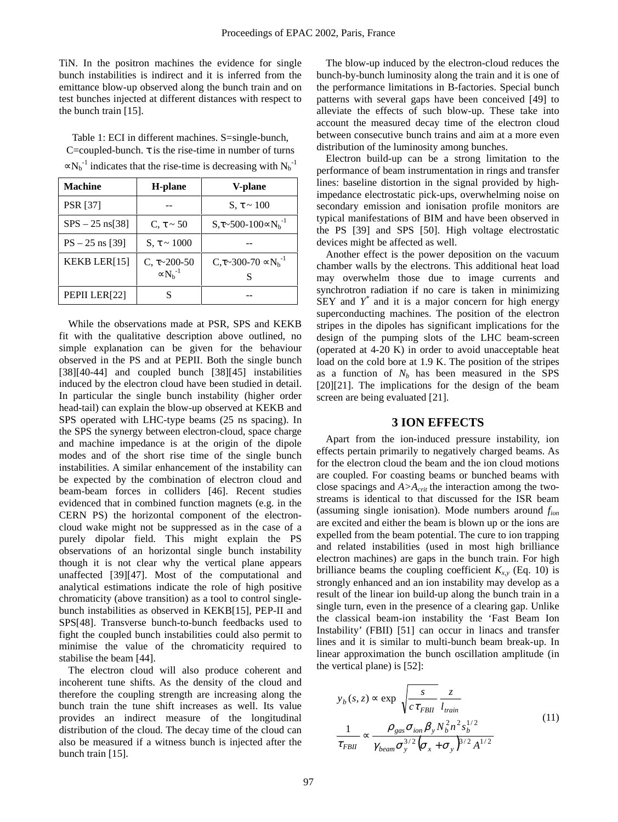TiN. In the positron machines the evidence for single bunch instabilities is indirect and it is inferred from the emittance blow-up observed along the bunch train and on test bunches injected at different distances with respect to the bunch train [15].

Table 1: ECI in different machines. S=single-bunch, C=coupled-bunch.  $\tau$  is the rise-time in number of turns  $\propto$ N<sub>b</sub><sup>-1</sup> indicates that the rise-time is decreasing with N<sub>b</sub><sup>-1</sup>

| <b>Machine</b>    | H-plane             | V-plane                                   |
|-------------------|---------------------|-------------------------------------------|
| <b>PSR [37]</b>   |                     | $S, \tau \sim 100$                        |
| $SPS - 25$ ns[38] | C, $τ ~ 50$         | $S_{\nu} \sim 500 - 100 \times N_h^{-1}$  |
| $PS - 25$ ns [39] | $S, \tau \sim 1000$ |                                           |
| KEKB LER[15]      | C, $\tau$ - 200-50  | $C_{\tau} \sim 300 - 70 \propto N_h^{-1}$ |
|                   | $\propto N_h^{-1}$  | S                                         |
| PEPII LER[22]     |                     |                                           |

While the observations made at PSR, SPS and KEKB fit with the qualitative description above outlined, no simple explanation can be given for the behaviour observed in the PS and at PEPII. Both the single bunch [38][40-44] and coupled bunch [38][45] instabilities induced by the electron cloud have been studied in detail. In particular the single bunch instability (higher order head-tail) can explain the blow-up observed at KEKB and SPS operated with LHC-type beams (25 ns spacing). In the SPS the synergy between electron-cloud, space charge and machine impedance is at the origin of the dipole modes and of the short rise time of the single bunch instabilities. A similar enhancement of the instability can be expected by the combination of electron cloud and beam-beam forces in colliders [46]. Recent studies evidenced that in combined function magnets (e.g. in the CERN PS) the horizontal component of the electroncloud wake might not be suppressed as in the case of a purely dipolar field. This might explain the PS observations of an horizontal single bunch instability though it is not clear why the vertical plane appears unaffected [39][47]. Most of the computational and analytical estimations indicate the role of high positive chromaticity (above transition) as a tool to control singlebunch instabilities as observed in KEKB[15], PEP-II and SPS[48]. Transverse bunch-to-bunch feedbacks used to fight the coupled bunch instabilities could also permit to minimise the value of the chromaticity required to stabilise the beam [44].

The electron cloud will also produce coherent and incoherent tune shifts. As the density of the cloud and therefore the coupling strength are increasing along the bunch train the tune shift increases as well. Its value provides an indirect measure of the longitudinal distribution of the cloud. The decay time of the cloud can also be measured if a witness bunch is injected after the bunch train [15].

The blow-up induced by the electron-cloud reduces the bunch-by-bunch luminosity along the train and it is one of the performance limitations in B-factories. Special bunch patterns with several gaps have been conceived [49] to alleviate the effects of such blow-up. These take into account the measured decay time of the electron cloud between consecutive bunch trains and aim at a more even distribution of the luminosity among bunches.

Electron build-up can be a strong limitation to the performance of beam instrumentation in rings and transfer lines: baseline distortion in the signal provided by highimpedance electrostatic pick-ups, overwhelming noise on secondary emission and ionisation profile monitors are typical manifestations of BIM and have been observed in the PS [39] and SPS [50]. High voltage electrostatic devices might be affected as well.

Another effect is the power deposition on the vacuum chamber walls by the electrons. This additional heat load may overwhelm those due to image currents and synchrotron radiation if no care is taken in minimizing  $SEY$  and  $Y^*$  and it is a major concern for high energy superconducting machines. The position of the electron stripes in the dipoles has significant implications for the design of the pumping slots of the LHC beam-screen (operated at 4-20 K) in order to avoid unacceptable heat load on the cold bore at 1.9 K. The position of the stripes as a function of  $N_b$  has been measured in the SPS [20][21]. The implications for the design of the beam screen are being evaluated [21].

# **3 ION EFFECTS**

Apart from the ion-induced pressure instability, ion effects pertain primarily to negatively charged beams. As for the electron cloud the beam and the ion cloud motions are coupled. For coasting beams or bunched beams with close spacings and  $A > A<sub>crit</sub>$  the interaction among the twostreams is identical to that discussed for the ISR beam (assuming single ionisation). Mode numbers around *fion* are excited and either the beam is blown up or the ions are expelled from the beam potential. The cure to ion trapping and related instabilities (used in most high brilliance electron machines) are gaps in the bunch train. For high brilliance beams the coupling coefficient  $K_{x,y}$  (Eq. 10) is strongly enhanced and an ion instability may develop as a result of the linear ion build-up along the bunch train in a single turn, even in the presence of a clearing gap. Unlike the classical beam-ion instability the 'Fast Beam Ion Instability' (FBII) [51] can occur in linacs and transfer lines and it is similar to multi-bunch beam break-up. In linear approximation the bunch oscillation amplitude (in the vertical plane) is [52]:

$$
y_b(s, z) \propto \exp\left(\sqrt{\frac{s}{c\tau_{FBI}} \frac{z}{l_{train}}}\right)
$$
  

$$
\frac{1}{\tau_{FBI}} \propto \frac{\rho_{gas} \sigma_{ion} \beta_{y} N_b^2 n^2 s_b^{1/2}}{\gamma_{beam} \sigma_y^{3/2} (\sigma_x + \sigma_y)^{3/2} A^{1/2}}
$$
(11)